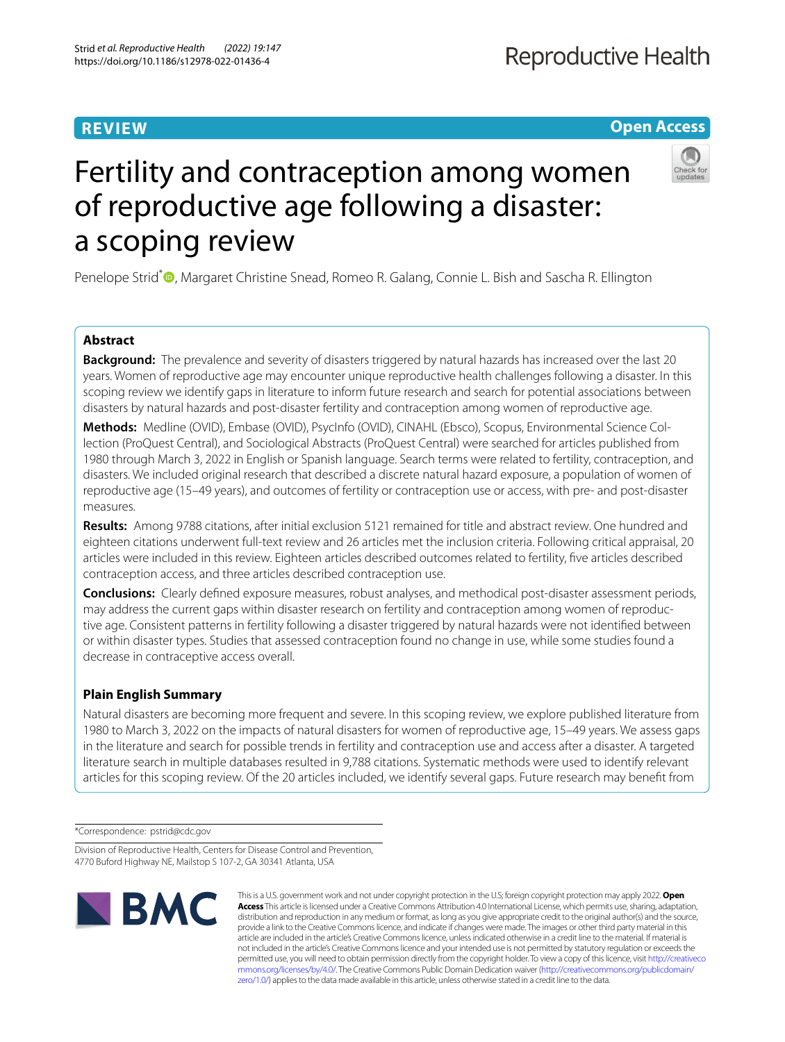# **REVIEW**

# **Open Access**



# Fertility and contraception among women of reproductive age following a disaster: a scoping review

Penelope Strid<sup>[\\*](http://orcid.org/0000-0003-4730-6501)</sup><sup>®</sup>, Margaret Christine Snead, Romeo R. Galang, Connie L. Bish and Sascha R. Ellington

# **Abstract**

**Background:** The prevalence and severity of disasters triggered by natural hazards has increased over the last 20 years. Women of reproductive age may encounter unique reproductive health challenges following a disaster. In this scoping review we identify gaps in literature to inform future research and search for potential associations between disasters by natural hazards and post-disaster fertility and contraception among women of reproductive age.

**Methods:** Medline (OVID), Embase (OVID), PsycInfo (OVID), CINAHL (Ebsco), Scopus, Environmental Science Collection (ProQuest Central), and Sociological Abstracts (ProQuest Central) were searched for articles published from 1980 through March 3, 2022 in English or Spanish language. Search terms were related to fertility, contraception, and disasters. We included original research that described a discrete natural hazard exposure, a population of women of reproductive age (15–49 years), and outcomes of fertility or contraception use or access, with pre- and post-disaster measures.

**Results:** Among 9788 citations, after initial exclusion 5121 remained for title and abstract review. One hundred and eighteen citations underwent full-text review and 26 articles met the inclusion criteria. Following critical appraisal, 20 articles were included in this review. Eighteen articles described outcomes related to fertility, fve articles described contraception access, and three articles described contraception use.

**Conclusions:** Clearly defned exposure measures, robust analyses, and methodical post-disaster assessment periods, may address the current gaps within disaster research on fertility and contraception among women of reproductive age. Consistent patterns in fertility following a disaster triggered by natural hazards were not identifed between or within disaster types. Studies that assessed contraception found no change in use, while some studies found a decrease in contraceptive access overall.

# **Plain English Summary**

Natural disasters are becoming more frequent and severe. In this scoping review, we explore published literature from 1980 to March 3, 2022 on the impacts of natural disasters for women of reproductive age, 15–49 years. We assess gaps in the literature and search for possible trends in fertility and contraception use and access after a disaster. A targeted literature search in multiple databases resulted in 9,788 citations. Systematic methods were used to identify relevant articles for this scoping review. Of the 20 articles included, we identify several gaps. Future research may beneft from

\*Correspondence: pstrid@cdc.gov

Division of Reproductive Health, Centers for Disease Control and Prevention, 4770 Buford Highway NE, Mailstop S 107-2, GA 30341 Atlanta, USA



This is a U.S. government work and not under copyright protection in the U.S; foreign copyright protection may apply 2022. **Open Access** This article is licensed under a Creative Commons Attribution 4.0 International License, which permits use, sharing, adaptation, distribution and reproduction in any medium or format, as long as you give appropriate credit to the original author(s) and the source, provide a link to the Creative Commons licence, and indicate if changes were made. The images or other third party material in this article are included in the article's Creative Commons licence, unless indicated otherwise in a credit line to the material. If material is not included in the article's Creative Commons licence and your intended use is not permitted by statutory regulation or exceeds the permitted use, you will need to obtain permission directly from the copyright holder. To view a copy of this licence, visit [http://creativeco](http://creativecommons.org/licenses/by/4.0/) [mmons.org/licenses/by/4.0/.](http://creativecommons.org/licenses/by/4.0/) The Creative Commons Public Domain Dedication waiver ([http://creativecommons.org/publicdomain/](http://creativecommons.org/publicdomain/zero/1.0/) [zero/1.0/\)](http://creativecommons.org/publicdomain/zero/1.0/) applies to the data made available in this article, unless otherwise stated in a credit line to the data.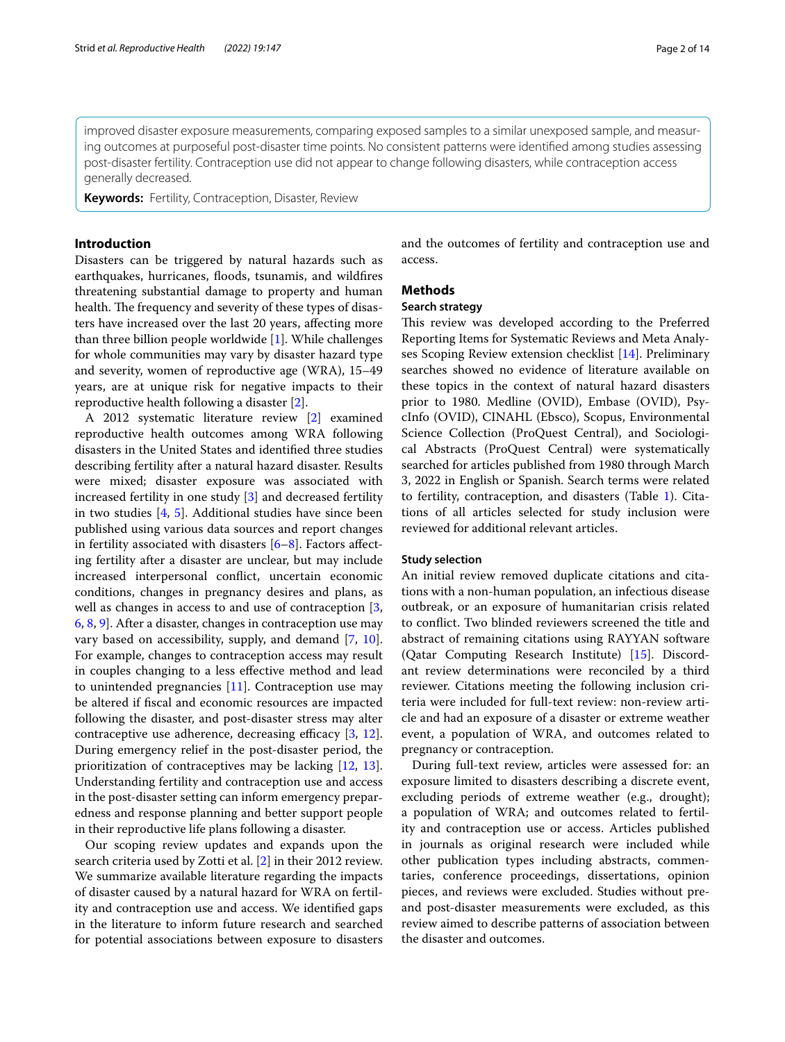improved disaster exposure measurements, comparing exposed samples to a similar unexposed sample, and measuring outcomes at purposeful post-disaster time points. No consistent patterns were identifed among studies assessing post-disaster fertility. Contraception use did not appear to change following disasters, while contraception access generally decreased.

**Keywords:** Fertility, Contraception, Disaster, Review

# **Introduction**

Disasters can be triggered by natural hazards such as earthquakes, hurricanes, foods, tsunamis, and wildfres threatening substantial damage to property and human health. The frequency and severity of these types of disasters have increased over the last 20 years, afecting more than three billion people worldwide [\[1](#page-12-0)]. While challenges for whole communities may vary by disaster hazard type and severity, women of reproductive age (WRA), 15–49 years, are at unique risk for negative impacts to their reproductive health following a disaster [\[2](#page-12-1)].

A 2012 systematic literature review [[2\]](#page-12-1) examined reproductive health outcomes among WRA following disasters in the United States and identifed three studies describing fertility after a natural hazard disaster. Results were mixed; disaster exposure was associated with increased fertility in one study [\[3\]](#page-12-2) and decreased fertility in two studies [[4,](#page-12-3) [5](#page-12-4)]. Additional studies have since been published using various data sources and report changes in fertility associated with disasters  $[6-8]$  $[6-8]$ . Factors affecting fertility after a disaster are unclear, but may include increased interpersonal confict, uncertain economic conditions, changes in pregnancy desires and plans, as well as changes in access to and use of contraception [\[3](#page-12-2), [6,](#page-12-5) [8,](#page-12-6) [9](#page-12-7)]. After a disaster, changes in contraception use may vary based on accessibility, supply, and demand [\[7](#page-12-8), [10](#page-12-9)]. For example, changes to contraception access may result in couples changing to a less efective method and lead to unintended pregnancies  $[11]$  $[11]$ . Contraception use may be altered if fscal and economic resources are impacted following the disaster, and post-disaster stress may alter contraceptive use adherence, decreasing efficacy  $[3, 12]$  $[3, 12]$  $[3, 12]$  $[3, 12]$  $[3, 12]$ . During emergency relief in the post-disaster period, the prioritization of contraceptives may be lacking [[12](#page-12-11), [13](#page-12-12)]. Understanding fertility and contraception use and access in the post-disaster setting can inform emergency preparedness and response planning and better support people in their reproductive life plans following a disaster.

Our scoping review updates and expands upon the search criteria used by Zotti et al. [[2](#page-12-1)] in their 2012 review. We summarize available literature regarding the impacts of disaster caused by a natural hazard for WRA on fertility and contraception use and access. We identifed gaps in the literature to inform future research and searched for potential associations between exposure to disasters and the outcomes of fertility and contraception use and access.

## **Methods**

# **Search strategy**

This review was developed according to the Preferred Reporting Items for Systematic Reviews and Meta Analyses Scoping Review extension checklist [\[14](#page-12-13)]. Preliminary searches showed no evidence of literature available on these topics in the context of natural hazard disasters prior to 1980. Medline (OVID), Embase (OVID), PsycInfo (OVID), CINAHL (Ebsco), Scopus, Environmental Science Collection (ProQuest Central), and Sociological Abstracts (ProQuest Central) were systematically searched for articles published from 1980 through March 3, 2022 in English or Spanish. Search terms were related to fertility, contraception, and disasters (Table [1\)](#page-2-0). Citations of all articles selected for study inclusion were reviewed for additional relevant articles.

## **Study selection**

An initial review removed duplicate citations and citations with a non-human population, an infectious disease outbreak, or an exposure of humanitarian crisis related to confict. Two blinded reviewers screened the title and abstract of remaining citations using RAYYAN software (Qatar Computing Research Institute) [\[15](#page-12-14)]. Discordant review determinations were reconciled by a third reviewer. Citations meeting the following inclusion criteria were included for full-text review: non-review article and had an exposure of a disaster or extreme weather event, a population of WRA, and outcomes related to pregnancy or contraception.

During full-text review, articles were assessed for: an exposure limited to disasters describing a discrete event, excluding periods of extreme weather (e.g., drought); a population of WRA; and outcomes related to fertility and contraception use or access. Articles published in journals as original research were included while other publication types including abstracts, commentaries, conference proceedings, dissertations, opinion pieces, and reviews were excluded. Studies without preand post-disaster measurements were excluded, as this review aimed to describe patterns of association between the disaster and outcomes.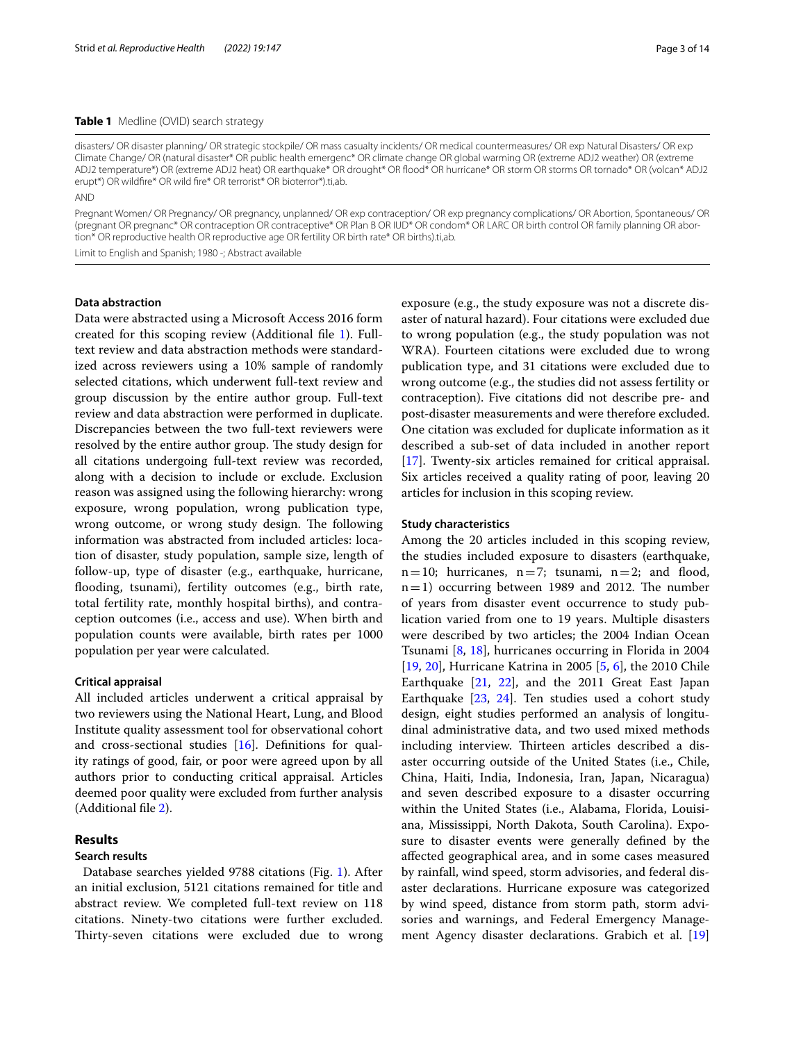### <span id="page-2-0"></span>**Table 1** Medline (OVID) search strategy

disasters/ OR disaster planning/ OR strategic stockpile/ OR mass casualty incidents/ OR medical countermeasures/ OR exp Natural Disasters/ OR exp Climate Change/ OR (natural disaster\* OR public health emergenc\* OR climate change OR global warming OR (extreme ADJ2 weather) OR (extreme ADJ2 temperature\*) OR (extreme ADJ2 heat) OR earthquake\* OR drought\* OR flood\* OR hurricane\* OR storm OR storms OR tornado\* OR (volcan\* ADJ2 erupt\*) OR wildfre\* OR wild fre\* OR terrorist\* OR bioterror\*).ti,ab.

AND

Pregnant Women/ OR Pregnancy/ OR pregnancy, unplanned/ OR exp contraception/ OR exp pregnancy complications/ OR Abortion, Spontaneous/ OR (pregnant OR pregnanc\* OR contraception OR contraceptive\* OR Plan B OR IUD\* OR condom\* OR LARC OR birth control OR family planning OR abortion\* OR reproductive health OR reproductive age OR fertility OR birth rate\* OR births).ti,ab.

Limit to English and Spanish; 1980 -; Abstract available

#### **Data abstraction**

Data were abstracted using a Microsoft Access 2016 form created for this scoping review (Additional fle [1](#page-12-15)). Fulltext review and data abstraction methods were standardized across reviewers using a 10% sample of randomly selected citations, which underwent full-text review and group discussion by the entire author group. Full-text review and data abstraction were performed in duplicate. Discrepancies between the two full-text reviewers were resolved by the entire author group. The study design for all citations undergoing full-text review was recorded, along with a decision to include or exclude. Exclusion reason was assigned using the following hierarchy: wrong exposure, wrong population, wrong publication type, wrong outcome, or wrong study design. The following information was abstracted from included articles: location of disaster, study population, sample size, length of follow-up, type of disaster (e.g., earthquake, hurricane, fooding, tsunami), fertility outcomes (e.g., birth rate, total fertility rate, monthly hospital births), and contraception outcomes (i.e., access and use). When birth and population counts were available, birth rates per 1000 population per year were calculated.

#### **Critical appraisal**

All included articles underwent a critical appraisal by two reviewers using the National Heart, Lung, and Blood Institute quality assessment tool for observational cohort and cross-sectional studies [[16\]](#page-12-16). Defnitions for quality ratings of good, fair, or poor were agreed upon by all authors prior to conducting critical appraisal. Articles deemed poor quality were excluded from further analysis (Additional fle [2](#page-12-17)).

# **Results**

#### **Search results**

 Database searches yielded 9788 citations (Fig. [1\)](#page-3-0). After an initial exclusion, 5121 citations remained for title and abstract review. We completed full-text review on 118 citations. Ninety-two citations were further excluded. Thirty-seven citations were excluded due to wrong

exposure (e.g., the study exposure was not a discrete disaster of natural hazard). Four citations were excluded due to wrong population (e.g., the study population was not WRA). Fourteen citations were excluded due to wrong publication type, and 31 citations were excluded due to wrong outcome (e.g., the studies did not assess fertility or contraception). Five citations did not describe pre- and post-disaster measurements and were therefore excluded. One citation was excluded for duplicate information as it described a sub-set of data included in another report [[17\]](#page-12-18). Twenty-six articles remained for critical appraisal. Six articles received a quality rating of poor, leaving 20 articles for inclusion in this scoping review.

### **Study characteristics**

Among the 20 articles included in this scoping review, the studies included exposure to disasters (earthquake,  $n=10$ ; hurricanes,  $n=7$ ; tsunami,  $n=2$ ; and flood,  $n=1$ ) occurring between 1989 and 2012. The number of years from disaster event occurrence to study publication varied from one to 19 years. Multiple disasters were described by two articles; the 2004 Indian Ocean Tsunami [[8](#page-12-6), [18\]](#page-12-19), hurricanes occurring in Florida in 2004 [[19,](#page-13-0) [20\]](#page-13-1), Hurricane Katrina in 2005 [\[5](#page-12-4), [6](#page-12-5)], the 2010 Chile Earthquake [[21](#page-13-2), [22](#page-13-3)], and the 2011 Great East Japan Earthquake [[23,](#page-13-4) [24\]](#page-13-5). Ten studies used a cohort study design, eight studies performed an analysis of longitudinal administrative data, and two used mixed methods including interview. Thirteen articles described a disaster occurring outside of the United States (i.e., Chile, China, Haiti, India, Indonesia, Iran, Japan, Nicaragua) and seven described exposure to a disaster occurring within the United States (i.e., Alabama, Florida, Louisiana, Mississippi, North Dakota, South Carolina). Exposure to disaster events were generally defned by the afected geographical area, and in some cases measured by rainfall, wind speed, storm advisories, and federal disaster declarations. Hurricane exposure was categorized by wind speed, distance from storm path, storm advisories and warnings, and Federal Emergency Management Agency disaster declarations. Grabich et al. [[19](#page-13-0)]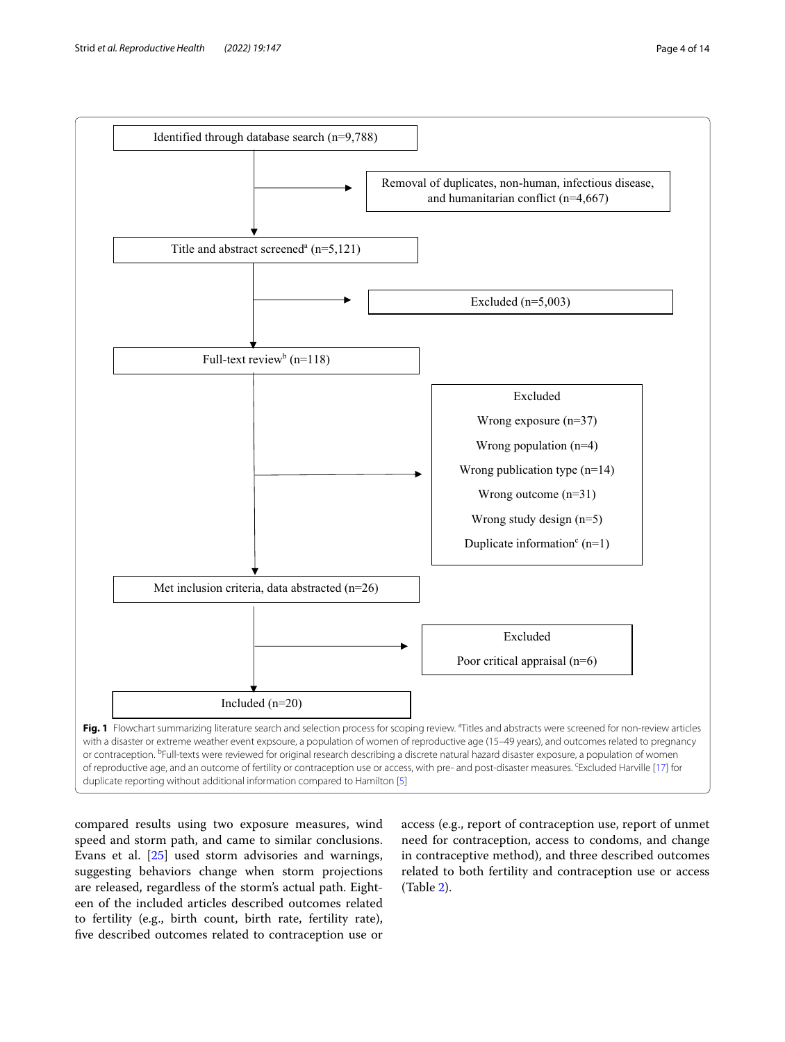

<span id="page-3-0"></span>compared results using two exposure measures, wind speed and storm path, and came to similar conclusions. Evans et al. [[25\]](#page-13-6) used storm advisories and warnings, suggesting behaviors change when storm projections are released, regardless of the storm's actual path. Eighteen of the included articles described outcomes related to fertility (e.g., birth count, birth rate, fertility rate), fve described outcomes related to contraception use or

access (e.g., report of contraception use, report of unmet need for contraception, access to condoms, and change in contraceptive method), and three described outcomes related to both fertility and contraception use or access (Table [2\)](#page-4-0).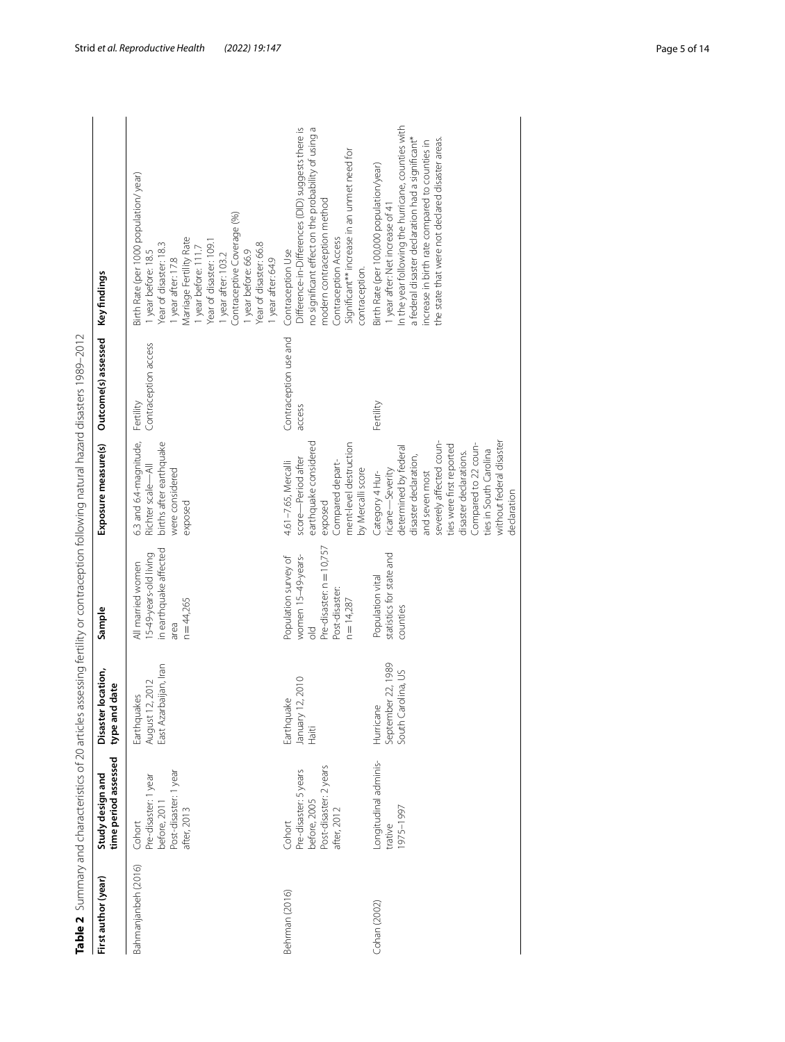<span id="page-4-0"></span>

| First author (year) | time period assessed<br>Study design and                                                 | Disaster location,<br>type and date                     | Table 2 Summary and characteristics of 20 articles assessing fertility or contraception following natural hazard disasters 1989-2012<br>Sample | Exposure measure(s)                                                                                                                                                                                                                                                                  | Outcome(s) assessed               | Key findings                                                                                                                                                                                                                                                                                                         |
|---------------------|------------------------------------------------------------------------------------------|---------------------------------------------------------|------------------------------------------------------------------------------------------------------------------------------------------------|--------------------------------------------------------------------------------------------------------------------------------------------------------------------------------------------------------------------------------------------------------------------------------------|-----------------------------------|----------------------------------------------------------------------------------------------------------------------------------------------------------------------------------------------------------------------------------------------------------------------------------------------------------------------|
| Bahmanjanbeh (2016) | Post-disaster: 1 year<br>Pre-disaster: 1 year<br>before, 2011<br>after, 2013<br>Cohort   | August 12, 2012<br>East Azarbaijan, Iran<br>Earthquakes | in earthquake affected<br>5-49-years-old living<br>All married women<br>$n = 44.265$<br>area                                                   | 6.3 and 6.4-magnitude,<br>births after earthquake<br>Richter scale-All<br>were considered<br>exposed                                                                                                                                                                                 | Contraception access<br>Fertility | Birth Rate (per 1000 population/year)<br>Contraceptive Coverage (%)<br>Marriage Fertility Rate<br>Year of disaster: 109.1<br>rear of disaster: 66.8<br>Year of disaster: 18.3<br>1 year before: 111.7<br>1 year before: 18.5<br>year before: 66.9<br>I year after: 103.2<br>1 year after: 64.9<br>I year after: 17.8 |
| Behrman (2016)      | Post-disaster: 2 years<br>Pre-disaster: 5 years<br>before, 2005<br>after, 2012<br>Cohort | ,2010<br>Earthquake<br>January 12<br>Haiti              | Pre-disaster: n = 10,757<br>women 15-49-years-<br>Population survey of<br>Post-disaster:<br>$n = 14,287$<br>$\frac{1}{2}$                      | earthquake considered<br>ment-level destruction<br>score-Period after<br>Compared depart-<br>4.61-7.65, Mercalli<br>by Mercalli score<br>exposed                                                                                                                                     | Contraception use and<br>access   | Difference-in-Differences (DID) suggests there is<br>no significant effect on the probability of using a<br>Significant** increase in an unmet need for<br>modern contraception method<br>Contraception Access<br>Contraception Use<br>contraception.                                                                |
| Cohan (2002)        | Longitudinal adminis-<br>1975-1997<br>trative                                            | September 22, 1989<br>South Carolina, US<br>Hurricane   | statistics for state and<br>Population vital<br>counties                                                                                       | severely affected coun-<br>without federal disaster<br>ties were first reported<br>determined by federal<br>Compared to 22 coun-<br>ties in South Carolina<br>disaster declarations.<br>disaster declaration,<br>ricane-Severity<br>Category 4 Hur-<br>and seven most<br>declaration | Fertility                         | n the year following the hurricane, counties with<br>a federal disaster declaration had a significant*<br>the state that were not declared disaster areas.<br>increase in birth rate compared to counties in<br>Birth Rate (per 100,000 population/year)<br>1 year after: Net increase of 41                         |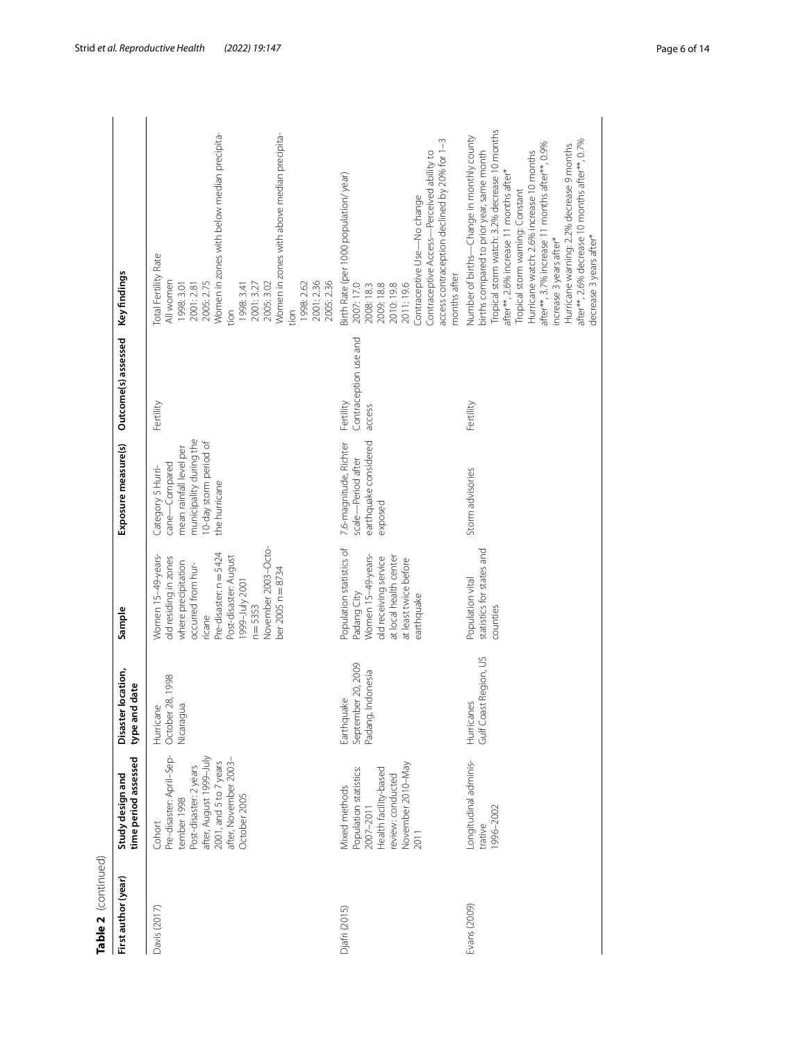| Table 2 (continued) |                                                                                                                                                                           |                                                       |                                                                                                                                                                                                                                   |                                                                                                                                            |                                              |                                                                                                                                                                                                                                                                                                                                                                                                                                                                           |
|---------------------|---------------------------------------------------------------------------------------------------------------------------------------------------------------------------|-------------------------------------------------------|-----------------------------------------------------------------------------------------------------------------------------------------------------------------------------------------------------------------------------------|--------------------------------------------------------------------------------------------------------------------------------------------|----------------------------------------------|---------------------------------------------------------------------------------------------------------------------------------------------------------------------------------------------------------------------------------------------------------------------------------------------------------------------------------------------------------------------------------------------------------------------------------------------------------------------------|
| First author (year) | time period assessed<br>Study design and                                                                                                                                  | Disaster location,<br>date<br>type and                | Sample                                                                                                                                                                                                                            | Exposure measure(s)                                                                                                                        | Outcome(s) assessed                          | Key findings                                                                                                                                                                                                                                                                                                                                                                                                                                                              |
| Davis (2017)        | Pre-disaster: April-Sep-<br>after, August 1999-July<br>after, November 2003-<br>2001, and 5 to 7 years<br>Post-disaster: 2 years<br>October 2005<br>tember 1998<br>Cohort | October 28, 1998<br>Hurricane<br>Nicaragua            | November 2003-Octo-<br>Pre-disaster: n = 5424<br>Post-disaster: August<br>Women 15-49-years-<br>old residing in zones<br>where precipitation<br>occurred from hur-<br>ber 2005 n = 8734<br>1999-July 2001<br>$n = 5353$<br>ricane | municipality during the<br>0-day storm period of<br>mean rainfall level per<br>$c$ ane $-c$ Compared<br>Category 5 Hurri-<br>the hurricane | Fertility                                    | Women in zones with below median precipita-<br>Women in zones with above median precipita-<br><b>Total Fertility Rate</b><br>2001:236<br>2005: 2.36<br>All women<br>2005: 2.75<br>2001:3.27<br>2005: 3.02<br>1998: 2.62<br>1998: 3.01<br>2001:281<br>1998: 3.41<br>tion<br>tion                                                                                                                                                                                           |
| Djafri (2015)       | November 2010-May<br>Population statistics:<br>Health facility-based<br>review: conducted<br>Mixed methods<br>2007-2011<br>2011                                           | September 20, 2009<br>Padang, Indonesia<br>Earthquake | Population statistics of<br>at local health center<br>Women 15-49-years-<br>old receiving service<br>at least twice before<br>Padang City<br>earthquake                                                                           | earthquake considered<br>7.6-magnitude, Richter<br>scale-Period after<br>exposed                                                           | Contraception use and<br>Fertility<br>access | access contraception declined by 20% for 1-3<br>Contraceptive Access-Perceived ability to<br>Birth Rate (per 1000 population/year)<br>Contraceptive Use-No change<br>months after<br>2007: 17.0<br>2009:18.8<br>2010:19.8<br>2011:19.6<br>2008:18.3                                                                                                                                                                                                                       |
| Evans (2009)        | Longitudinal adminis-<br>1996-2002<br>trative                                                                                                                             | Region, US<br>Hurricanes<br>Gulf Coast                | statistics for states and<br>Population vital<br>counties                                                                                                                                                                         | Storm advisories                                                                                                                           | Fertility                                    | Tropical storm watch: 3.2% decrease 10 months<br>Number of births-Change in monthly county<br>after**, 2.6% decrease 10 months after**, 0.7%<br>after**, 3.7% increase 11 months after**, 0.9%<br>Hurricane warning: 2.2% decrease 9 months<br>Hurricane watch: 2.6% increase 10 months<br>births compared to prior year, same month<br>after**, 2.6% increase 11 months after*<br>Tropical storm warning: Constant<br>decrease 3 years after*<br>increase 3 years after* |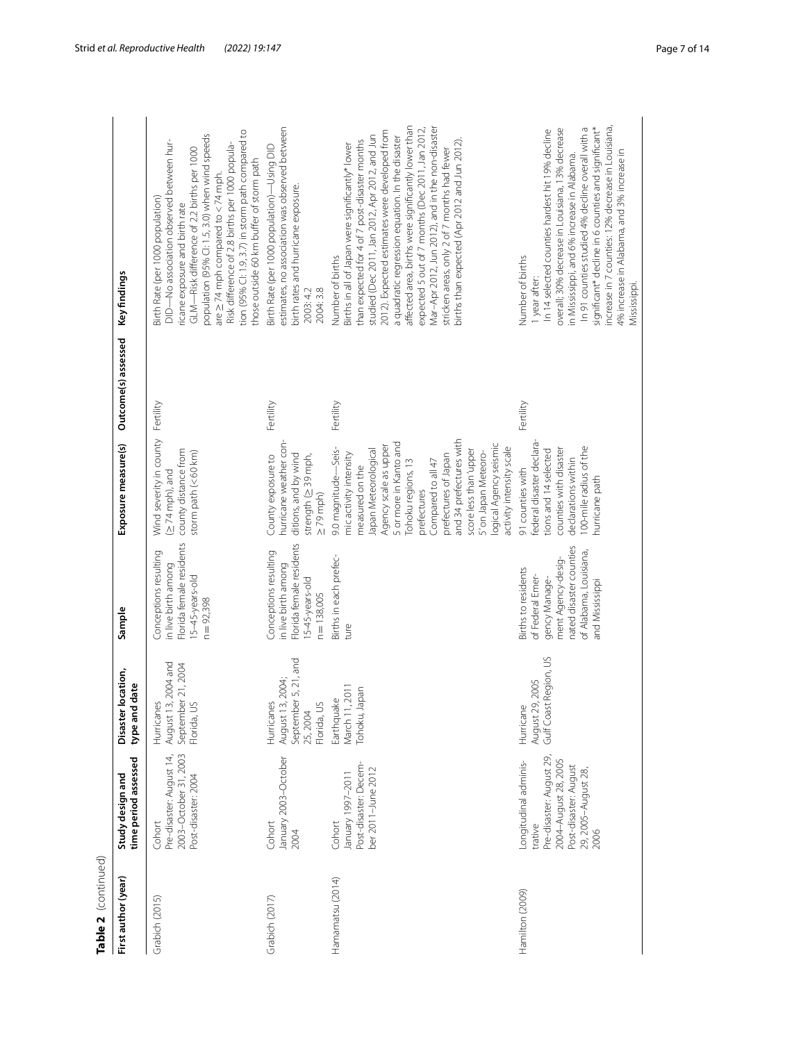| Table 2  (continued) |                                                                                                                                              |                                                                                  |                                                                                                                                                        |                                                                                                                                                                                                                                                                                                                                                                   |                     |                                                                                                                                                                                                                                                                                                                                                                                                                                                                                                                                            |
|----------------------|----------------------------------------------------------------------------------------------------------------------------------------------|----------------------------------------------------------------------------------|--------------------------------------------------------------------------------------------------------------------------------------------------------|-------------------------------------------------------------------------------------------------------------------------------------------------------------------------------------------------------------------------------------------------------------------------------------------------------------------------------------------------------------------|---------------------|--------------------------------------------------------------------------------------------------------------------------------------------------------------------------------------------------------------------------------------------------------------------------------------------------------------------------------------------------------------------------------------------------------------------------------------------------------------------------------------------------------------------------------------------|
| First author (year)  | time period assessed<br>Study design and                                                                                                     | Disaster location,<br>type and date                                              | Sample                                                                                                                                                 | Exposure measure(s)                                                                                                                                                                                                                                                                                                                                               | Outcome(s) assessed | Key findings                                                                                                                                                                                                                                                                                                                                                                                                                                                                                                                               |
| Grabich (2015)       | 2003-October 31, 2003<br>Pre-disaster: August 14,<br>Post-disaster: 2004<br>Cohort                                                           | Hurricanes<br>August 13, 2004 and<br>September 21, 2004<br>Florida, US           | Florida female residents<br>Conceptions resulting<br>in live birth among<br>15-45-years-old<br>$n = 92,398$                                            | Wind severity in county Fertility<br>county distance from<br>storm path (<60 km)<br>$\geq$ 74 mph), and                                                                                                                                                                                                                                                           |                     | tion (95% Cl: 1.9, 3.7) in storm path compared to<br>oopulation (95% Cl: 1.5, 3.0) when wind speeds<br>DID-No association observed between hur-<br>Risk difference of 2.8 births per 1000 popula-<br>GLM-Risk difference of 2.2 births per 1000<br>those outside 60 km buffer of storm path<br>are $\geq$ 74 mph compared to $<$ 74 mph.<br>3irth Rate (per 1000 population)<br>ricane exposure and birth rate                                                                                                                             |
| Grabich (2017)       | January 2003-October<br>Cohort<br>2004                                                                                                       | September 5, 21, and<br>August 13, 2004;<br>Florida, US<br>Hurricanes<br>25,2004 | Florida female residents<br>Conceptions resulting<br>in live birth among<br>15-45-years-old<br>$n = 138,005$                                           | hurricane weather con-<br>ditions, and by wind<br>County exposure to<br>strength $( \geq 39 \text{ mph}$ ,<br>$\geq 79$ mph)                                                                                                                                                                                                                                      | Fertility           | estimates, no association was observed between<br>Birth Rate (per 1000 population)—Using DID<br>birth rates and hurricane exposure.<br>2004:3.8<br>2003: 4.2                                                                                                                                                                                                                                                                                                                                                                               |
| Hamamatsu (2014)     | Post-disaster: Decem-<br>ber 2011-June 2012<br>January 1997-2011<br>Cohort                                                                   | 1,2011<br>Tohoku, Japan<br>Earthquake<br>March 11                                | Births in each prefec-<br>ture                                                                                                                         | and 34 prefectures with<br>5 or more in Kanto and<br>logical Agency seismic<br>Agency scale as upper<br>activity intensity scale<br>9.0 magnitude-Seis-<br>lapan Meteorological<br>score less than 'upper<br>5' on Japan Meteoro-<br>mic activity intensity<br>prefectures of Japan<br>Compared to all 47<br>Tohoku regions, 13<br>measured on the<br>prefectures | Fertility           | affected area, births were significantly lower than<br>Mar-Apr 2012, Jun 2012), and in the non-disaster<br>expected 5 out of 7 months (Dec 2011, Jan 2012,<br>2012). Expected estimates were developed from<br>studied (Dec 2011, Jan 2012, Apr 2012, and Jun<br>a quadratic regression equation. In the disaster<br>than expected for 4 of 7 post-disaster months<br>births than expected (Apr 2012 and Jun 2012)<br>Births in all of Japan were significantly* lower<br>stricken areas, only 2 of 7 months had fewer<br>Number of births |
| Hamilton (2009)      | Pre-disaster: August 29,<br>2004-August 28, 2005<br>Longitudinal adminis-<br>Post-disaster: August<br>29, 2005-August 28,<br>trative<br>2006 | Gulf Coast Region, US<br>August 29, 2005<br>Hurricane                            | nated disaster counties<br>of Alabama, Louisiana,<br>ment Agency-desig-<br>Births to residents<br>of Federal Emer-<br>gency Manage-<br>and Mississippi | federal disaster declara<br>100-mile radius of the<br>counties with disaster<br>tions and 14 selected<br>declarations within<br>91 counties with<br>nurricane path                                                                                                                                                                                                | Fertility           | increase in 7 counties: 12% decrease in Louisiana,<br>significant* decline in 6 counties and significant*<br>In 91 counties studied 4% decline overall with a<br>overall; 30% decrease in Louisiana, 13% decrease<br>In 14 selected counties hardest hit 19% decline<br>4% increase in Alabama, and 3% increase in<br>in Mississippi, and 6% increase in Alabama.<br>Number of births<br>1 year after:<br>Mississippi.                                                                                                                     |

Table 2 (continued)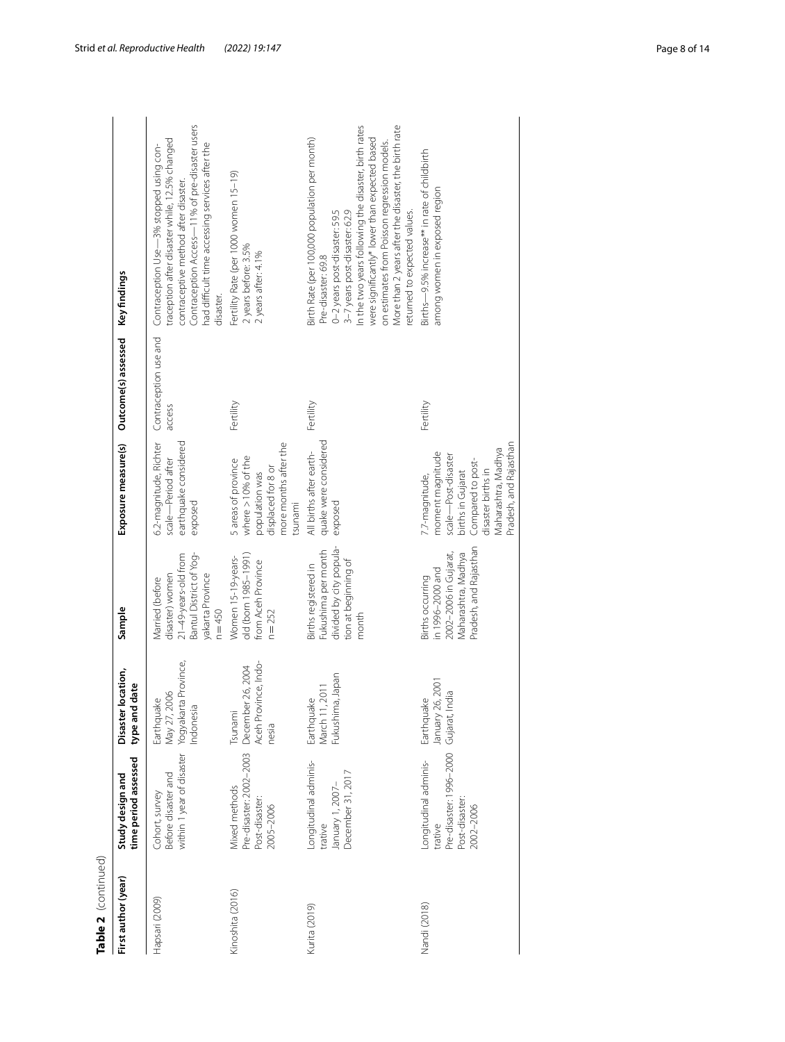| Table 2  (continued) |                                                                                                       |                                                                |                                                                                                                        |                                                                                                                                                                            |                                 |                                                                                                                                                                                                                                                                                                                                                                                        |
|----------------------|-------------------------------------------------------------------------------------------------------|----------------------------------------------------------------|------------------------------------------------------------------------------------------------------------------------|----------------------------------------------------------------------------------------------------------------------------------------------------------------------------|---------------------------------|----------------------------------------------------------------------------------------------------------------------------------------------------------------------------------------------------------------------------------------------------------------------------------------------------------------------------------------------------------------------------------------|
| First author (year)  | time period assessed<br>Study design and                                                              | Disaster location,<br>type and date                            | Sample                                                                                                                 | Exposure measure(s)                                                                                                                                                        | Outcome(s) assessed             | Key findings                                                                                                                                                                                                                                                                                                                                                                           |
| Hapsari (2009)       | within 1 year of disaster<br>Before disaster and<br>Cohort, survey                                    | Yogyakarta Province,<br>May 27, 2006<br>Earthquake<br>ndonesia | Bantul District of Yog-<br>21-49-years-old from<br>yakarta Province<br>disaster) women<br>Married (before<br>$n = 450$ | earthquake considered<br>6.2-magnitude, Richter<br>scale-Period after<br>exposed                                                                                           | Contraception use and<br>access | Contraception Access-11% of pre-disaster users<br>traception after disaster while, 12.5% changed<br>had difficult time accessing services after the<br>Contraception Use-3% stopped using con-<br>contraceptive method after disaster.<br>disaster.                                                                                                                                    |
| Kinoshita (2016)     | Pre-disaster: 2002-2003<br>Mixed methods<br>Post-disaster:<br>2005-2006                               | December 26, 2004<br>Aceh Province, Indo-<br>Tsunami<br>nesia  | old (born 1985-1991)<br>Women 15-19-years-<br>from Aceh Province<br>$n = 252$                                          | more months after the<br>where $> 10\%$ of the<br>5 areas of province<br>displaced for 8 or<br>population was<br>tsunami                                                   | Fertility                       | Fertility Rate (per 1000 women 15-19)<br>2 years before: 3.5%<br>2 years after: 4.1%                                                                                                                                                                                                                                                                                                   |
| Kurita (2019)        | Longitudinal adminis-<br>December 31, 2017<br>January 1, 2007-<br>trative                             | na, Japan<br>March 11, 2011<br>Earthquake<br>Fukushim          | divided by city popula-<br>Fukushima per month<br>tion at beginning of<br>Births registered in<br>month                | quake were considered<br>All births after earth-<br>exposed                                                                                                                | Fertility                       | In the two years following the disaster, birth rates<br>More than 2 years after the disaster, the birth rate<br>Birth Rate (per 100,000 population per month)<br>were significantly* lower than expected based<br>on estimates from Poisson regression models.<br>3-7 years post-disaster: 62.9<br>returned to expected values.<br>0-2 years post-disaster: 59.5<br>Pre-disaster: 69.8 |
| <b>Nandi</b> (2018)  | Pre-disaster: 1996-2000 Gujarat, I<br>Longitudinal adminis-<br>Post-disaster:<br>2002-2006<br>trative | January 26, 2001<br>ndia<br>Earthquake                         | Pradesh, and Rajasthan<br>2002-2006 in Gujarat,<br>Maharashtra, Madhya<br>in 1996-2000 and<br>Births occurring         | Pradesh, and Rajasthan<br>Maharashtra, Madhya<br>moment magnitude<br>scale-Post-disaster<br>Compared to post-<br>disaster births in<br>births in Gujarat<br>7.7-magnitude, | Fertility                       | Births-9.5% increase** in rate of childbirth<br>among women in exposed region                                                                                                                                                                                                                                                                                                          |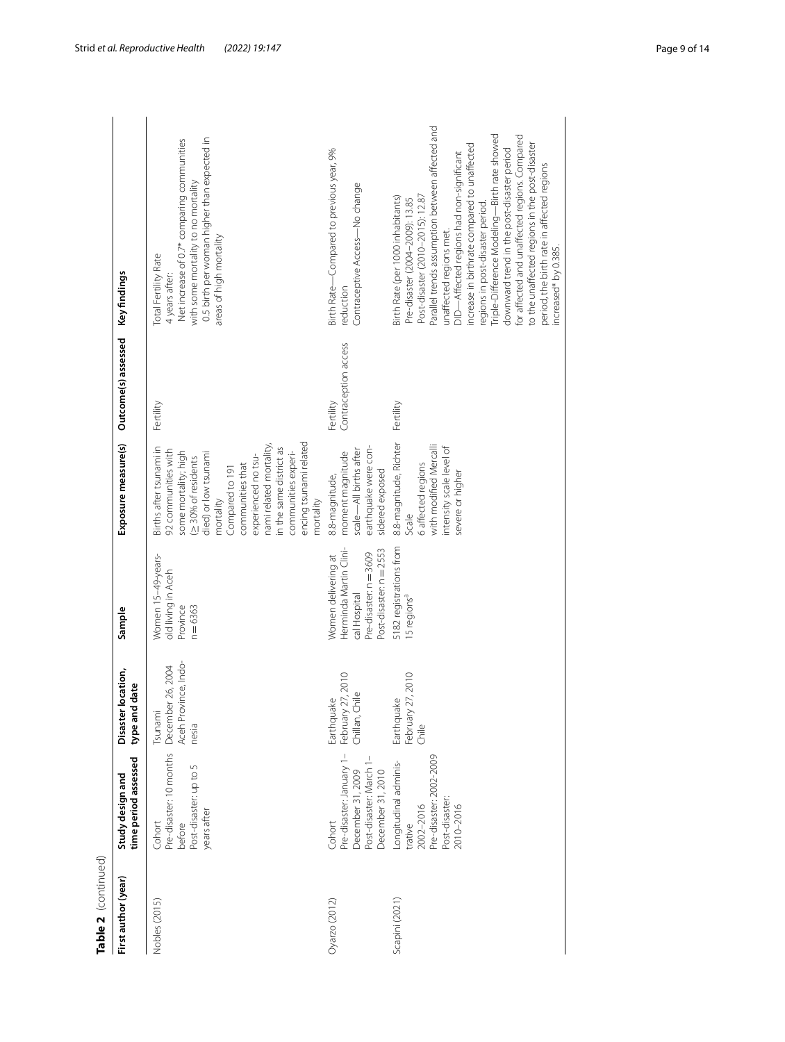| ſ |
|---|
|   |
| r |
|   |
|   |
|   |
|   |
|   |

| Table 2 (continued)<br>First author (year) | time period assessed<br>Study design and                                                                | Disaster location,<br>type and date                           | Sample                                                                                                           | Exposure measure(s)                                                                                                                                                                                                                                                                                                | Outcome(s) assessed               | Key findings                                                                                                                                                                                                                                                                                                                                                                                                                                                                                                                                                                                  |
|--------------------------------------------|---------------------------------------------------------------------------------------------------------|---------------------------------------------------------------|------------------------------------------------------------------------------------------------------------------|--------------------------------------------------------------------------------------------------------------------------------------------------------------------------------------------------------------------------------------------------------------------------------------------------------------------|-----------------------------------|-----------------------------------------------------------------------------------------------------------------------------------------------------------------------------------------------------------------------------------------------------------------------------------------------------------------------------------------------------------------------------------------------------------------------------------------------------------------------------------------------------------------------------------------------------------------------------------------------|
| Nobles (2015)                              | Pre-disaster: 10 months<br>Post-disaster: up to 5<br>years after<br>Cohort<br>before                    | Aceh Province, Indo-<br>December 26, 2004<br>Tsunami<br>nesia | Women 15-49-years-<br>old living in Aceh<br>$n = 6363$<br>Province                                               | encing tsunami related<br>nami related mortality,<br>Births after tsunami in<br>in the same district as<br>92 communities with<br>some mortality; high<br>communities experi-<br>died) or low tsunami<br>experienced no tsu-<br>230% of residents<br>communities that<br>Compared to 191<br>mortality<br>mortality | Fertility                         | 0.5 birth per woman higher than expected in<br>Net increase of 0.7* comparing communities<br>with some mortality to no mortality<br>areas of high mortality<br>Total Fertility Rate<br>4 years after:                                                                                                                                                                                                                                                                                                                                                                                         |
| Oyarzo (2012)                              | Pre-disaster: January 1<br>Post-disaster: March<br>December 31, 2010<br>December 31, 2009<br>Cohort     | 2010<br>Chillan, Chile<br>February 27,<br>Earthquake          | Herminda Martin Clini-<br>Post-disaster: n = 2553<br>Pre-disaster: n=3609<br>Women delivering at<br>cal Hospital | earthquake were con-<br>scale-All births after<br>moment magnitude<br>sidered exposed<br>8.8-magnitude,                                                                                                                                                                                                            | Contraception access<br>Fertility | Birth Rate-Compared to previous year, 9%<br>Contraceptive Access-No change<br>reduction                                                                                                                                                                                                                                                                                                                                                                                                                                                                                                       |
| Scapini (2021)                             | Pre-disaster: 2002-2009<br>Longitudinal adminis-<br>Post-disaster:<br>2002-2016<br>2010-2016<br>trative | 2010<br>Earthquake<br>February 27,<br>$rac{e}{\sqrt{2}}$      | 5182 registrations from<br>15 regions <sup>a</sup>                                                               | 8.8-magnitude, Richter<br>with modified Mercalli<br>ntensity scale level of<br>6 affected regions<br>severe or higher<br>Scale                                                                                                                                                                                     | Fertility                         | Parallel trends assumption between affected and<br>Triple-Difference Modeling—Birth rate showed<br>for affected and unaffected regions. Compared<br>to the unaffected regions in the post-disaster<br>increase in birthrate compared to unaffected<br>downward trend in the post-disaster period<br>DID—Affected regions had non-significant<br>period, the birth rate in affected regions<br>Post-disaster (2010-2015): 12.87<br>Birth Rate (per 1000 inhabitants)<br>Pre-disaster (2004-2009): 13.85<br>regions in post-disaster period.<br>unaffected regions met.<br>increased* by 0.385. |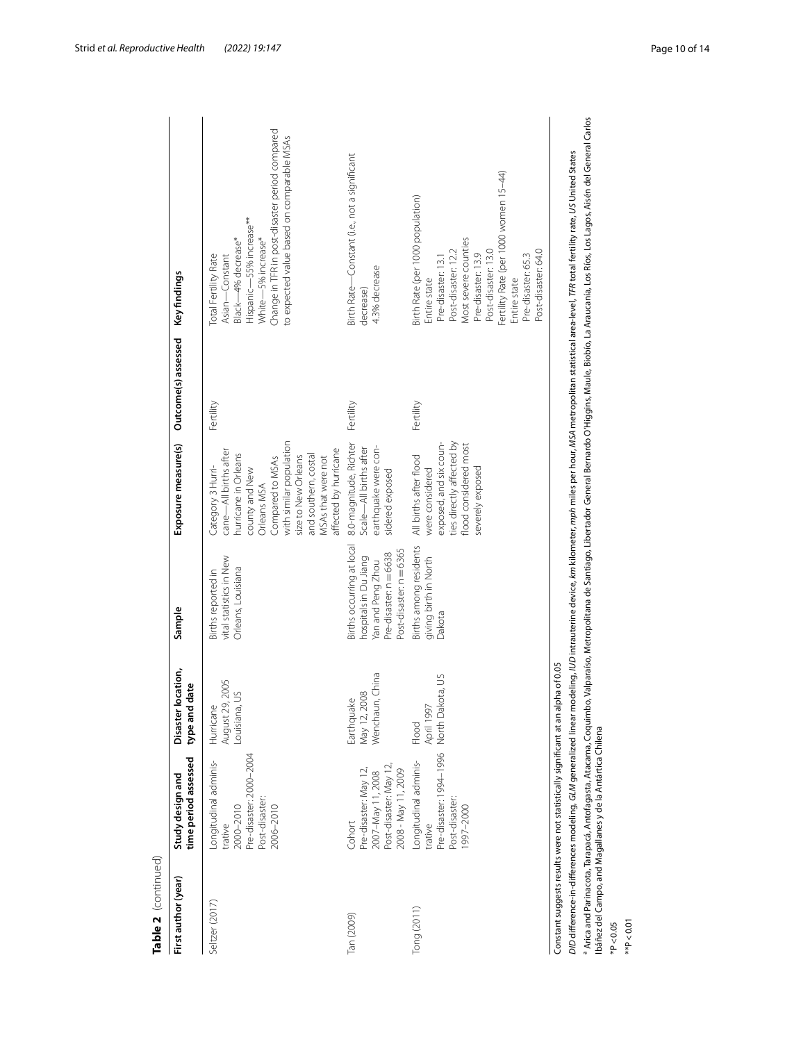| Table 2  (continued)        |                                                                                                                                                |                                                      |                                                                                                                            |                                                                                                                                                                                                                                                         |                     |                                                                                                                                                                                                                                                                                                                                                                                                                                                                     |
|-----------------------------|------------------------------------------------------------------------------------------------------------------------------------------------|------------------------------------------------------|----------------------------------------------------------------------------------------------------------------------------|---------------------------------------------------------------------------------------------------------------------------------------------------------------------------------------------------------------------------------------------------------|---------------------|---------------------------------------------------------------------------------------------------------------------------------------------------------------------------------------------------------------------------------------------------------------------------------------------------------------------------------------------------------------------------------------------------------------------------------------------------------------------|
| First author (year)         | time period assessed<br>Study design and                                                                                                       | location,<br>date<br>type and<br>Disaster            | Sample                                                                                                                     | Exposure measure(s)                                                                                                                                                                                                                                     | Outcome(s) assessed | Key findings                                                                                                                                                                                                                                                                                                                                                                                                                                                        |
| Seltzer (2017)              | Pre-disaster: 2000-2004<br>Longitudinal adminis-<br>Post-disaster:<br>2000-2010<br>2006-2010<br>trative                                        | August 29, 2005<br>$\leq$<br>Hurricane<br>Louisiana, | vital statistics in New<br>Orleans, Louisiana<br>Births reported in                                                        | with similar population<br>affected by hurricane<br>cane-All births after<br>nurricane in Orleans<br>and southern, costal<br>size to New Orleans<br>Compared to MSAs<br>MSAs that were not<br>Category 3 Hurri-<br>county and New<br><b>Orleans MSA</b> | Fertility           | Change in TFR in post-disaster period compared<br>to expected value based on comparable MSAs<br>Hispanic—55% increase**<br>Black-4% decrease*<br>White—5% increase*<br>Asian-Constant<br><b>Total Fertility Rate</b>                                                                                                                                                                                                                                                |
| Tan (2009)                  | Post-disaster: May 12,<br>Pre-disaster: May 12,<br>2008 - May 11, 2009<br>2007-May 11, 2008<br>Cohort                                          | Wenchaun, China<br>May 12, 2008<br>Earthquake        | Births occurring at local<br>Post-disaster: n = 6365<br>Pre-disaster: n=6638<br>hospitals in Du Jiang<br>Yan and Peng Zhou | 8.0-magnitude, Richter<br>earthquake were con-<br>Scale—All births after<br>sidered exposed                                                                                                                                                             | Fertility           | Birth Rate-Constant (i.e., not a significant<br>4.3% decrease<br>decrease)                                                                                                                                                                                                                                                                                                                                                                                          |
| Tong (2011)                 | Pre-disaster: 1994-1996 North Dakota, US<br>Longitudinal adminis-<br>Post-disaster:<br>997-2000<br>trative                                     | April 1997<br>Flood                                  | Births among residents<br>giving birth in North<br>Dakota                                                                  | ties directly affected by<br>exposed, and six coun-<br>flood considered most<br>All births after flood<br>severely exposed<br>were considered                                                                                                           | Fertility           | Fertility Rate (per 1000 women 15-44)<br>Birth Rate (per 1000 population)<br>Most severe counties<br>Post-disaster: 64.0<br>Post-disaster: 13.0<br>Post-disaster: 12.2<br>Pre-disaster: 13.9<br>Pre-disaster: 65.3<br>Pre-disaster: 13.1<br>Entire state<br>Entire state                                                                                                                                                                                            |
| **P $< 0.01$<br>$*P < 0.05$ | Constant suggests results were not statistically significant at an alpha of 0.05<br>Ibáñez del Campo, and Magallanes y de la Antártica Chilena |                                                      |                                                                                                                            |                                                                                                                                                                                                                                                         |                     | a Arica and Parinacota, Tarapacá, Antofagasta, Atacama, Coquimbo, Valparaíso, Metropolitana de Santiago, Libertador General Bernardo O'Higgins, Maule, Biobío, La Araucanía, Los Ríos, Los Lagos, Aisén del General Carlos<br>DID difference-in-differences modeling, GLM generalized linear modeling, IUD intrauterine device, <i>km</i> kilometer, <i>mph</i> miles per hour, MSA metropolitan statistical area-level, TFA total fertility rate, US United States |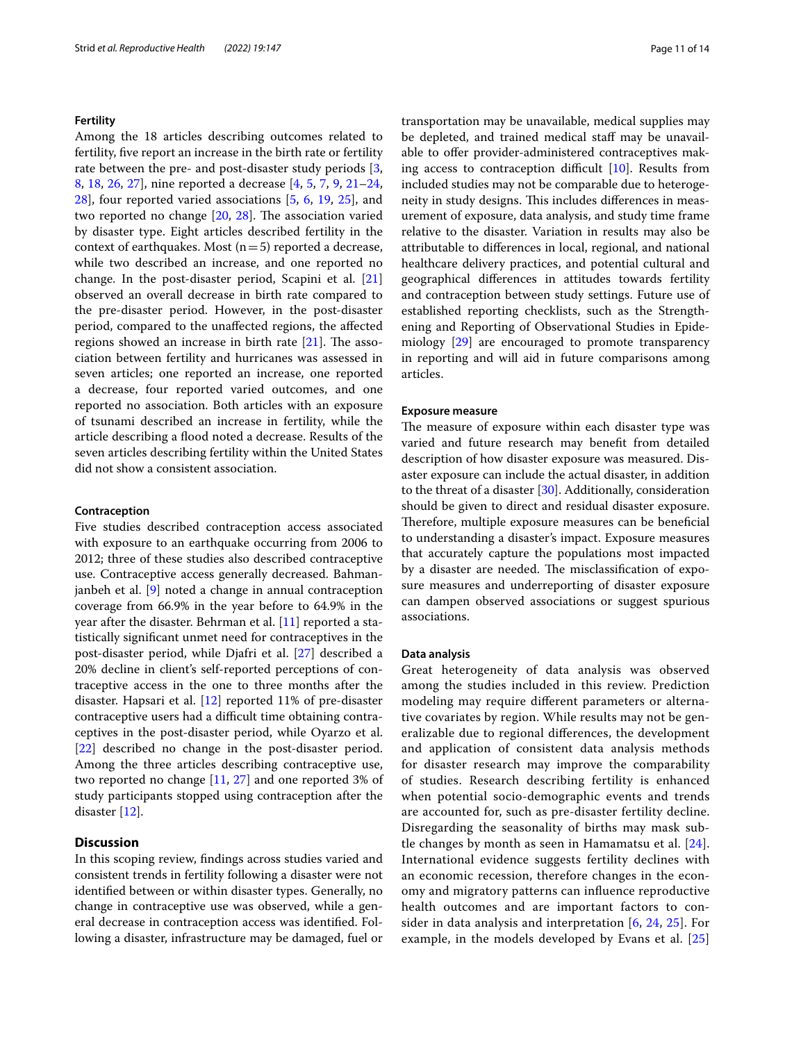#### **Fertility**

Among the 18 articles describing outcomes related to fertility, fve report an increase in the birth rate or fertility rate between the pre- and post-disaster study periods [\[3](#page-12-2), [8,](#page-12-6) [18,](#page-12-19) [26](#page-13-7), [27](#page-13-8)], nine reported a decrease [[4,](#page-12-3) [5,](#page-12-4) [7,](#page-12-8) [9,](#page-12-7) [21–](#page-13-2)[24](#page-13-5), [28\]](#page-13-9), four reported varied associations [[5,](#page-12-4) [6](#page-12-5), [19,](#page-13-0) [25](#page-13-6)], and two reported no change  $[20, 28]$  $[20, 28]$  $[20, 28]$  $[20, 28]$ . The association varied by disaster type. Eight articles described fertility in the context of earthquakes. Most  $(n=5)$  reported a decrease, while two described an increase, and one reported no change. In the post-disaster period, Scapini et al. [[21](#page-13-2)] observed an overall decrease in birth rate compared to the pre-disaster period. However, in the post-disaster period, compared to the unafected regions, the afected regions showed an increase in birth rate  $[21]$  $[21]$ . The association between fertility and hurricanes was assessed in seven articles; one reported an increase, one reported a decrease, four reported varied outcomes, and one reported no association. Both articles with an exposure of tsunami described an increase in fertility, while the article describing a flood noted a decrease. Results of the seven articles describing fertility within the United States did not show a consistent association.

## **Contraception**

Five studies described contraception access associated with exposure to an earthquake occurring from 2006 to 2012; three of these studies also described contraceptive use. Contraceptive access generally decreased. Bahmanjanbeh et al. [[9\]](#page-12-7) noted a change in annual contraception coverage from 66.9% in the year before to 64.9% in the year after the disaster. Behrman et al. [[11](#page-12-10)] reported a statistically signifcant unmet need for contraceptives in the post-disaster period, while Djafri et al. [\[27\]](#page-13-8) described a 20% decline in client's self-reported perceptions of contraceptive access in the one to three months after the disaster. Hapsari et al. [\[12](#page-12-11)] reported 11% of pre-disaster contraceptive users had a difficult time obtaining contraceptives in the post-disaster period, while Oyarzo et al. [[22\]](#page-13-3) described no change in the post-disaster period. Among the three articles describing contraceptive use, two reported no change [\[11,](#page-12-10) [27\]](#page-13-8) and one reported 3% of study participants stopped using contraception after the disaster [[12\]](#page-12-11).

# **Discussion**

In this scoping review, fndings across studies varied and consistent trends in fertility following a disaster were not identifed between or within disaster types. Generally, no change in contraceptive use was observed, while a general decrease in contraception access was identifed. Following a disaster, infrastructure may be damaged, fuel or transportation may be unavailable, medical supplies may be depleted, and trained medical staff may be unavailable to offer provider-administered contraceptives making access to contraception difficult  $[10]$  $[10]$ . Results from included studies may not be comparable due to heterogeneity in study designs. This includes differences in measurement of exposure, data analysis, and study time frame relative to the disaster. Variation in results may also be attributable to diferences in local, regional, and national healthcare delivery practices, and potential cultural and geographical diferences in attitudes towards fertility and contraception between study settings. Future use of established reporting checklists, such as the Strengthening and Reporting of Observational Studies in Epidemiology [[29\]](#page-13-10) are encouraged to promote transparency in reporting and will aid in future comparisons among articles.

## **Exposure measure**

The measure of exposure within each disaster type was varied and future research may beneft from detailed description of how disaster exposure was measured. Disaster exposure can include the actual disaster, in addition to the threat of a disaster [[30\]](#page-13-11). Additionally, consideration should be given to direct and residual disaster exposure. Therefore, multiple exposure measures can be beneficial to understanding a disaster's impact. Exposure measures that accurately capture the populations most impacted by a disaster are needed. The misclassification of exposure measures and underreporting of disaster exposure can dampen observed associations or suggest spurious associations.

#### **Data analysis**

Great heterogeneity of data analysis was observed among the studies included in this review. Prediction modeling may require diferent parameters or alternative covariates by region. While results may not be generalizable due to regional diferences, the development and application of consistent data analysis methods for disaster research may improve the comparability of studies. Research describing fertility is enhanced when potential socio-demographic events and trends are accounted for, such as pre-disaster fertility decline. Disregarding the seasonality of births may mask subtle changes by month as seen in Hamamatsu et al. [[24](#page-13-5)]. International evidence suggests fertility declines with an economic recession, therefore changes in the economy and migratory patterns can infuence reproductive health outcomes and are important factors to consider in data analysis and interpretation  $[6, 24, 25]$  $[6, 24, 25]$  $[6, 24, 25]$  $[6, 24, 25]$  $[6, 24, 25]$  $[6, 24, 25]$ . For example, in the models developed by Evans et al. [\[25](#page-13-6)]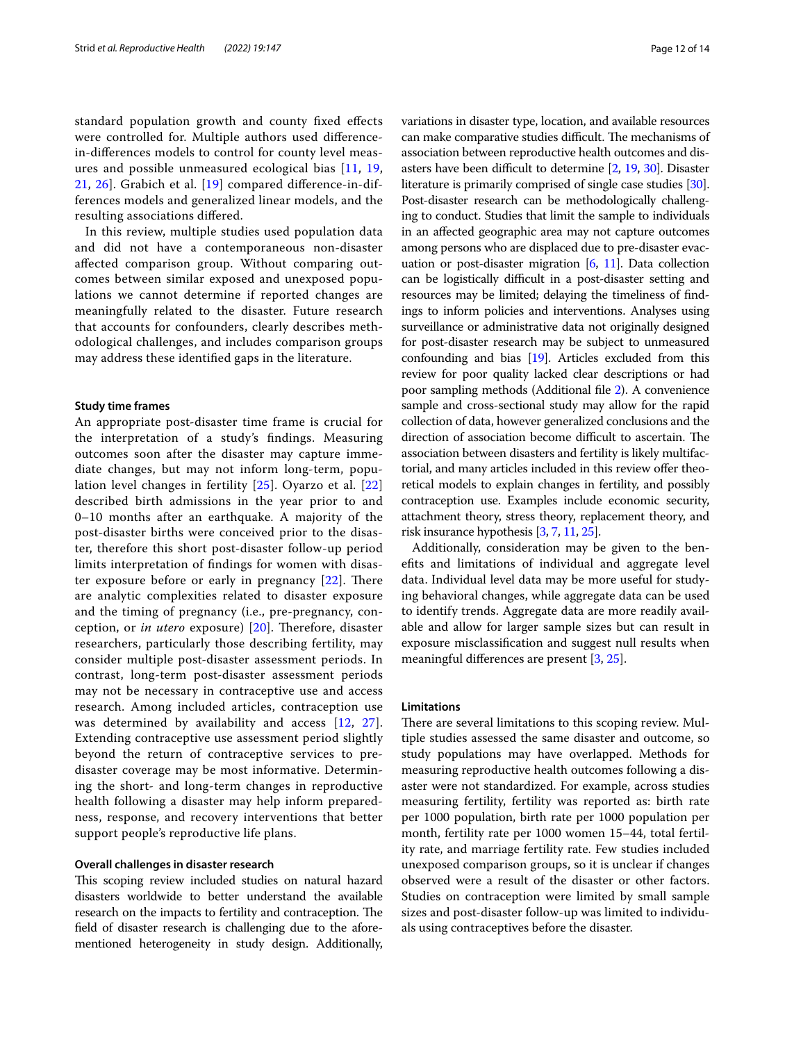standard population growth and county fxed efects were controlled for. Multiple authors used diferencein-diferences models to control for county level measures and possible unmeasured ecological bias [[11,](#page-12-10) [19](#page-13-0), [21,](#page-13-2) [26\]](#page-13-7). Grabich et al. [\[19](#page-13-0)] compared diference-in-differences models and generalized linear models, and the resulting associations difered.

In this review, multiple studies used population data and did not have a contemporaneous non-disaster afected comparison group. Without comparing outcomes between similar exposed and unexposed populations we cannot determine if reported changes are meaningfully related to the disaster. Future research that accounts for confounders, clearly describes methodological challenges, and includes comparison groups may address these identifed gaps in the literature.

#### **Study time frames**

An appropriate post-disaster time frame is crucial for the interpretation of a study's fndings. Measuring outcomes soon after the disaster may capture immediate changes, but may not inform long-term, population level changes in fertility [[25](#page-13-6)]. Oyarzo et al. [\[22](#page-13-3)] described birth admissions in the year prior to and 0–10 months after an earthquake. A majority of the post-disaster births were conceived prior to the disaster, therefore this short post-disaster follow-up period limits interpretation of fndings for women with disaster exposure before or early in pregnancy  $[22]$  $[22]$ . There are analytic complexities related to disaster exposure and the timing of pregnancy (i.e., pre-pregnancy, conception, or *in utero* exposure) [\[20](#page-13-1)]. Therefore, disaster researchers, particularly those describing fertility, may consider multiple post-disaster assessment periods. In contrast, long-term post-disaster assessment periods may not be necessary in contraceptive use and access research. Among included articles, contraception use was determined by availability and access [[12,](#page-12-11) [27\]](#page-13-8). Extending contraceptive use assessment period slightly beyond the return of contraceptive services to predisaster coverage may be most informative. Determining the short- and long-term changes in reproductive health following a disaster may help inform preparedness, response, and recovery interventions that better support people's reproductive life plans.

#### **Overall challenges in disaster research**

This scoping review included studies on natural hazard disasters worldwide to better understand the available research on the impacts to fertility and contraception. The feld of disaster research is challenging due to the aforementioned heterogeneity in study design. Additionally, variations in disaster type, location, and available resources can make comparative studies difficult. The mechanisms of association between reproductive health outcomes and disasters have been difficult to determine  $[2, 19, 30]$  $[2, 19, 30]$  $[2, 19, 30]$  $[2, 19, 30]$  $[2, 19, 30]$  $[2, 19, 30]$ . Disaster literature is primarily comprised of single case studies [[30](#page-13-11)]. Post-disaster research can be methodologically challenging to conduct. Studies that limit the sample to individuals in an afected geographic area may not capture outcomes among persons who are displaced due to pre-disaster evacuation or post-disaster migration [\[6](#page-12-5), [11\]](#page-12-10). Data collection can be logistically difficult in a post-disaster setting and resources may be limited; delaying the timeliness of fndings to inform policies and interventions. Analyses using surveillance or administrative data not originally designed for post-disaster research may be subject to unmeasured confounding and bias [[19](#page-13-0)]. Articles excluded from this review for poor quality lacked clear descriptions or had poor sampling methods (Additional fle [2](#page-12-17)). A convenience sample and cross-sectional study may allow for the rapid collection of data, however generalized conclusions and the direction of association become difficult to ascertain. The association between disasters and fertility is likely multifactorial, and many articles included in this review offer theoretical models to explain changes in fertility, and possibly contraception use. Examples include economic security, attachment theory, stress theory, replacement theory, and risk insurance hypothesis [[3](#page-12-2), [7](#page-12-8), [11](#page-12-10), [25\]](#page-13-6).

Additionally, consideration may be given to the benefts and limitations of individual and aggregate level data. Individual level data may be more useful for studying behavioral changes, while aggregate data can be used to identify trends. Aggregate data are more readily available and allow for larger sample sizes but can result in exposure misclassifcation and suggest null results when meaningful differences are present [[3,](#page-12-2) [25](#page-13-6)].

#### **Limitations**

There are several limitations to this scoping review. Multiple studies assessed the same disaster and outcome, so study populations may have overlapped. Methods for measuring reproductive health outcomes following a disaster were not standardized. For example, across studies measuring fertility, fertility was reported as: birth rate per 1000 population, birth rate per 1000 population per month, fertility rate per 1000 women 15–44, total fertility rate, and marriage fertility rate. Few studies included unexposed comparison groups, so it is unclear if changes observed were a result of the disaster or other factors. Studies on contraception were limited by small sample sizes and post-disaster follow-up was limited to individuals using contraceptives before the disaster.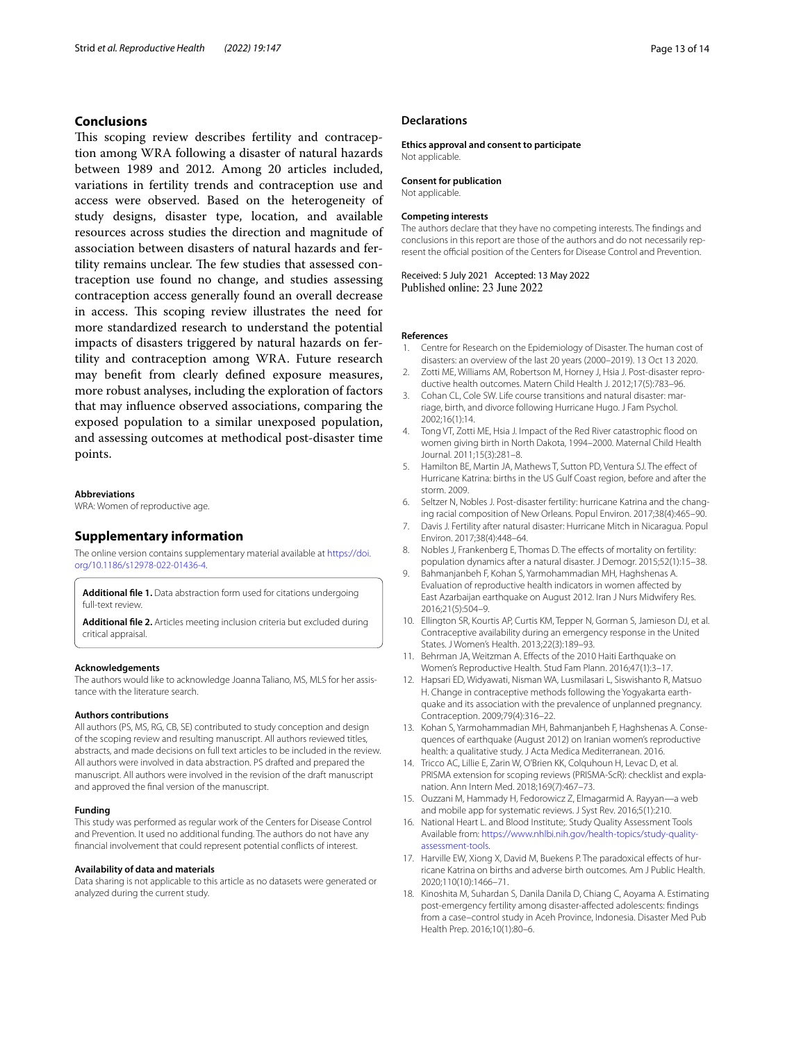# **Conclusions**

This scoping review describes fertility and contraception among WRA following a disaster of natural hazards between 1989 and 2012. Among 20 articles included, variations in fertility trends and contraception use and access were observed. Based on the heterogeneity of study designs, disaster type, location, and available resources across studies the direction and magnitude of association between disasters of natural hazards and fertility remains unclear. The few studies that assessed contraception use found no change, and studies assessing contraception access generally found an overall decrease in access. This scoping review illustrates the need for more standardized research to understand the potential impacts of disasters triggered by natural hazards on fertility and contraception among WRA. Future research may beneft from clearly defned exposure measures, more robust analyses, including the exploration of factors that may infuence observed associations, comparing the exposed population to a similar unexposed population, and assessing outcomes at methodical post-disaster time points.

#### **Abbreviations**

WRA: Women of reproductive age.

## **Supplementary information**

The online version contains supplementary material available at [https://doi.](https://doi.org/10.1186/s12978-022-01436-4) [org/10.1186/s12978-022-01436-4](https://doi.org/10.1186/s12978-022-01436-4).

<span id="page-12-17"></span><span id="page-12-15"></span>**Additional fle 1.** Data abstraction form used for citations undergoing full-text review.

**Additional fle 2.** Articles meeting inclusion criteria but excluded during critical appraisal.

#### **Acknowledgements**

The authors would like to acknowledge Joanna Taliano, MS, MLS for her assistance with the literature search.

#### **Authors contributions**

All authors (PS, MS, RG, CB, SE) contributed to study conception and design of the scoping review and resulting manuscript. All authors reviewed titles, abstracts, and made decisions on full text articles to be included in the review. All authors were involved in data abstraction. PS drafted and prepared the manuscript. All authors were involved in the revision of the draft manuscript and approved the fnal version of the manuscript.

#### **Funding**

This study was performed as regular work of the Centers for Disease Control and Prevention. It used no additional funding. The authors do not have any fnancial involvement that could represent potential conficts of interest.

#### **Availability of data and materials**

Data sharing is not applicable to this article as no datasets were generated or analyzed during the current study.

#### **Declarations**

**Ethics approval and consent to participate** Not applicable.

### **Consent for publication**

Not applicable.

#### **Competing interests**

The authors declare that they have no competing interests. The fndings and conclusions in this report are those of the authors and do not necessarily represent the official position of the Centers for Disease Control and Prevention.

Received: 5 July 2021 Accepted: 13 May 2022 Published online: 23 June 2022

#### **References**

- <span id="page-12-0"></span>1. Centre for Research on the Epidemiology of Disaster. The human cost of disasters: an overview of the last 20 years (2000–2019). 13 Oct 13 2020.
- <span id="page-12-1"></span>2. Zotti ME, Williams AM, Robertson M, Horney J, Hsia J. Post-disaster reproductive health outcomes. Matern Child Health J. 2012;17(5):783–96.
- <span id="page-12-2"></span>Cohan CL, Cole SW. Life course transitions and natural disaster: marriage, birth, and divorce following Hurricane Hugo. J Fam Psychol. 2002;16(1):14.
- <span id="page-12-3"></span>4. Tong VT, Zotti ME, Hsia J. Impact of the Red River catastrophic flood on women giving birth in North Dakota, 1994–2000. Maternal Child Health Journal. 2011;15(3):281–8.
- <span id="page-12-4"></span>5. Hamilton BE, Martin JA, Mathews T, Sutton PD, Ventura SJ. The efect of Hurricane Katrina: births in the US Gulf Coast region, before and after the storm. 2009.
- <span id="page-12-5"></span>6. Seltzer N, Nobles J. Post-disaster fertility: hurricane Katrina and the changing racial composition of New Orleans. Popul Environ. 2017;38(4):465–90.
- <span id="page-12-8"></span>7. Davis J. Fertility after natural disaster: Hurricane Mitch in Nicaragua. Popul Environ. 2017;38(4):448–64.
- <span id="page-12-6"></span>8. Nobles J, Frankenberg E, Thomas D. The effects of mortality on fertility: population dynamics after a natural disaster. J Demogr. 2015;52(1):15–38.
- <span id="page-12-7"></span>9. Bahmanjanbeh F, Kohan S, Yarmohammadian MH, Haghshenas A. Evaluation of reproductive health indicators in women afected by East Azarbaijan earthquake on August 2012. Iran J Nurs Midwifery Res. 2016;21(5):504–9.
- <span id="page-12-9"></span>10. Ellington SR, Kourtis AP, Curtis KM, Tepper N, Gorman S, Jamieson DJ, et al. Contraceptive availability during an emergency response in the United States. J Women's Health. 2013;22(3):189–93.
- <span id="page-12-10"></span>11. Behrman JA, Weitzman A. Efects of the 2010 Haiti Earthquake on Women's Reproductive Health. Stud Fam Plann. 2016;47(1):3–17.
- <span id="page-12-11"></span>12. Hapsari ED, Widyawati, Nisman WA, Lusmilasari L, Siswishanto R, Matsuo H. Change in contraceptive methods following the Yogyakarta earthquake and its association with the prevalence of unplanned pregnancy. Contraception. 2009;79(4):316–22.
- <span id="page-12-12"></span>13. Kohan S, Yarmohammadian MH, Bahmanjanbeh F, Haghshenas A. Consequences of earthquake (August 2012) on Iranian women's reproductive health: a qualitative study. J Acta Medica Mediterranean. 2016.
- <span id="page-12-13"></span>14. Tricco AC, Lillie E, Zarin W, O'Brien KK, Colquhoun H, Levac D, et al. PRISMA extension for scoping reviews (PRISMA-ScR): checklist and explanation. Ann Intern Med. 2018;169(7):467–73.
- <span id="page-12-14"></span>15. Ouzzani M, Hammady H, Fedorowicz Z, Elmagarmid A. Rayyan—a web and mobile app for systematic reviews. J Syst Rev. 2016;5(1):210.
- <span id="page-12-16"></span>16. National Heart L. and Blood Institute;. Study Quality Assessment Tools Available from: [https://www.nhlbi.nih.gov/health-topics/study-quality](https://www.nhlbi.nih.gov/health-topics/study-quality-assessment-tools)[assessment-tools.](https://www.nhlbi.nih.gov/health-topics/study-quality-assessment-tools)
- <span id="page-12-18"></span>17. Harville EW, Xiong X, David M, Buekens P. The paradoxical effects of hurricane Katrina on births and adverse birth outcomes. Am J Public Health. 2020;110(10):1466–71.
- <span id="page-12-19"></span>18. Kinoshita M, Suhardan S, Danila Danila D, Chiang C, Aoyama A. Estimating post-emergency fertility among disaster-afected adolescents: fndings from a case–control study in Aceh Province, Indonesia. Disaster Med Pub Health Prep. 2016;10(1):80–6.